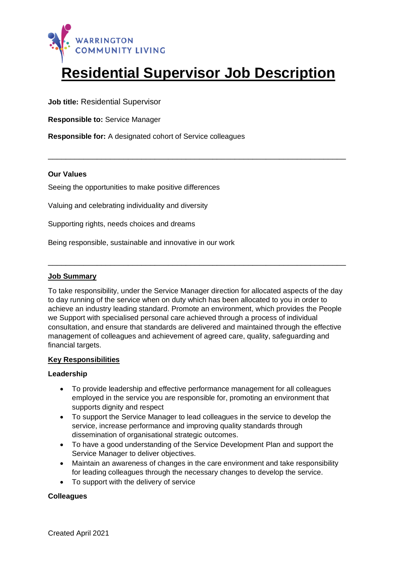

# **Residential Supervisor Job Description**

\_\_\_\_\_\_\_\_\_\_\_\_\_\_\_\_\_\_\_\_\_\_\_\_\_\_\_\_\_\_\_\_\_\_\_\_\_\_\_\_\_\_\_\_\_\_\_\_\_\_\_\_\_\_\_\_\_\_\_\_\_\_\_\_\_\_\_

**Job title:** Residential Supervisor

**Responsible to:** Service Manager

**Responsible for:** A designated cohort of Service colleagues

## **Our Values**

Seeing the opportunities to make positive differences

Valuing and celebrating individuality and diversity

Supporting rights, needs choices and dreams

Being responsible, sustainable and innovative in our work

## **Job Summary**

To take responsibility, under the Service Manager direction for allocated aspects of the day to day running of the service when on duty which has been allocated to you in order to achieve an industry leading standard. Promote an environment, which provides the People we Support with specialised personal care achieved through a process of individual consultation, and ensure that standards are delivered and maintained through the effective management of colleagues and achievement of agreed care, quality, safeguarding and financial targets.

\_\_\_\_\_\_\_\_\_\_\_\_\_\_\_\_\_\_\_\_\_\_\_\_\_\_\_\_\_\_\_\_\_\_\_\_\_\_\_\_\_\_\_\_\_\_\_\_\_\_\_\_\_\_\_\_\_\_\_\_\_\_\_\_\_\_\_

# **Key Responsibilities**

#### **Leadership**

- To provide leadership and effective performance management for all colleagues employed in the service you are responsible for, promoting an environment that supports dignity and respect
- To support the Service Manager to lead colleagues in the service to develop the service, increase performance and improving quality standards through dissemination of organisational strategic outcomes.
- To have a good understanding of the Service Development Plan and support the Service Manager to deliver objectives.
- Maintain an awareness of changes in the care environment and take responsibility for leading colleagues through the necessary changes to develop the service.
- To support with the delivery of service

#### **Colleagues**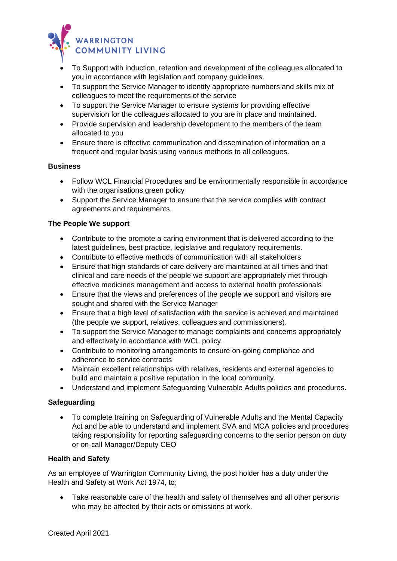

- To Support with induction, retention and development of the colleagues allocated to you in accordance with legislation and company guidelines.
- To support the Service Manager to identify appropriate numbers and skills mix of colleagues to meet the requirements of the service
- To support the Service Manager to ensure systems for providing effective supervision for the colleagues allocated to you are in place and maintained.
- Provide supervision and leadership development to the members of the team allocated to you
- Ensure there is effective communication and dissemination of information on a frequent and regular basis using various methods to all colleagues.

## **Business**

- Follow WCL Financial Procedures and be environmentally responsible in accordance with the organisations green policy
- Support the Service Manager to ensure that the service complies with contract agreements and requirements.

## **The People We support**

- Contribute to the promote a caring environment that is delivered according to the latest guidelines, best practice, legislative and regulatory requirements.
- Contribute to effective methods of communication with all stakeholders
- Ensure that high standards of care delivery are maintained at all times and that clinical and care needs of the people we support are appropriately met through effective medicines management and access to external health professionals
- Ensure that the views and preferences of the people we support and visitors are sought and shared with the Service Manager
- Ensure that a high level of satisfaction with the service is achieved and maintained (the people we support, relatives, colleagues and commissioners).
- To support the Service Manager to manage complaints and concerns appropriately and effectively in accordance with WCL policy.
- Contribute to monitoring arrangements to ensure on-going compliance and adherence to service contracts
- Maintain excellent relationships with relatives, residents and external agencies to build and maintain a positive reputation in the local community.
- Understand and implement Safeguarding Vulnerable Adults policies and procedures.

# **Safeguarding**

• To complete training on Safeguarding of Vulnerable Adults and the Mental Capacity Act and be able to understand and implement SVA and MCA policies and procedures taking responsibility for reporting safeguarding concerns to the senior person on duty or on-call Manager/Deputy CEO

# **Health and Safety**

As an employee of Warrington Community Living, the post holder has a duty under the Health and Safety at Work Act 1974, to;

• Take reasonable care of the health and safety of themselves and all other persons who may be affected by their acts or omissions at work.